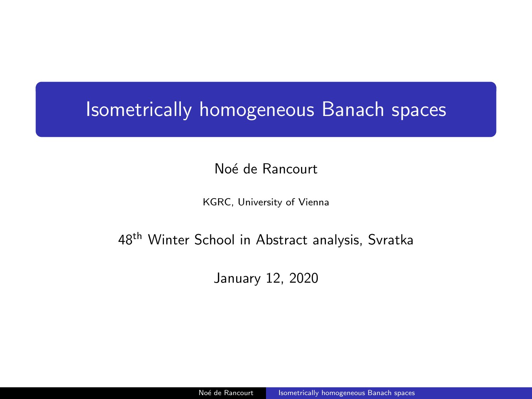# <span id="page-0-0"></span>Isometrically homogeneous Banach spaces

Noé de Rancourt

KGRC, University of Vienna

### 48<sup>th</sup> Winter School in Abstract analysis, Svratka

January 12, 2020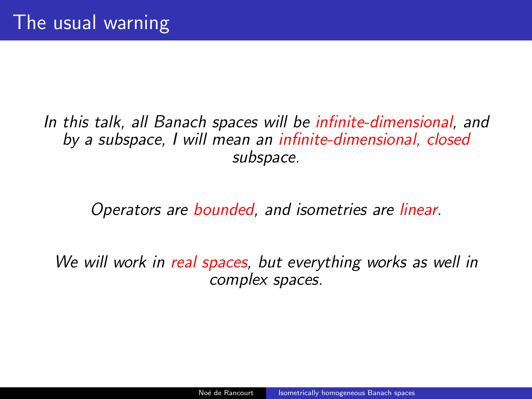## In this talk, all Banach spaces will be infinite-dimensional, and by a subspace, I will mean an infinite-dimensional, closed subspace.

Operators are bounded, and isometries are linear.

We will work in real spaces, but everything works as well in complex spaces.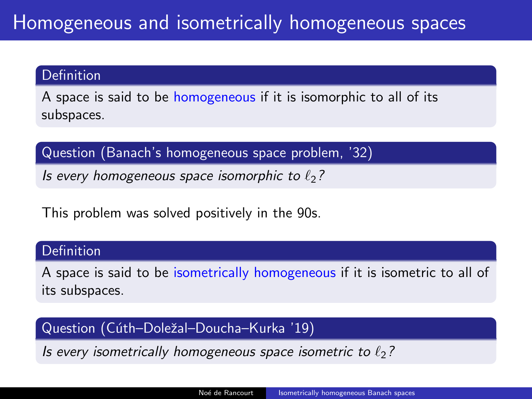#### **Definition**

A space is said to be homogeneous if it is isomorphic to all of its subspaces.

Question (Banach's homogeneous space problem, '32)

Is every homogeneous space isomorphic to  $\ell_2$ ?

This problem was solved positively in the 90s.

### Definition

A space is said to be isometrically homogeneous if it is isometric to all of its subspaces.

### Question (Cúth–Doležal–Doucha–Kurka '19)

Is every isometrically homogeneous space isometric to  $\ell_2$ ?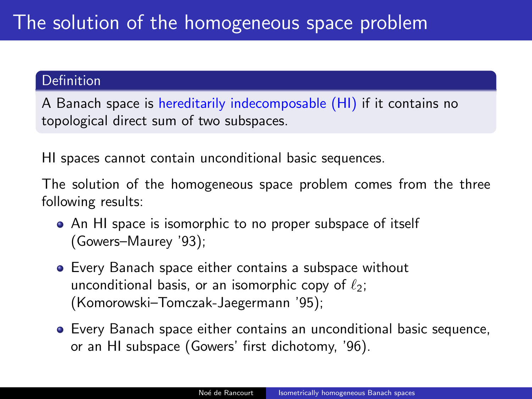### **Definition**

A Banach space is hereditarily indecomposable (HI) if it contains no topological direct sum of two subspaces.

HI spaces cannot contain unconditional basic sequences.

The solution of the homogeneous space problem comes from the three following results:

- An HI space is isomorphic to no proper subspace of itself (Gowers–Maurey '93);
- Every Banach space either contains a subspace without unconditional basis, or an isomorphic copy of  $\ell_2$ ; (Komorowski–Tomczak-Jaegermann '95);
- Every Banach space either contains an unconditional basic sequence, or an HI subspace (Gowers' first dichotomy, '96).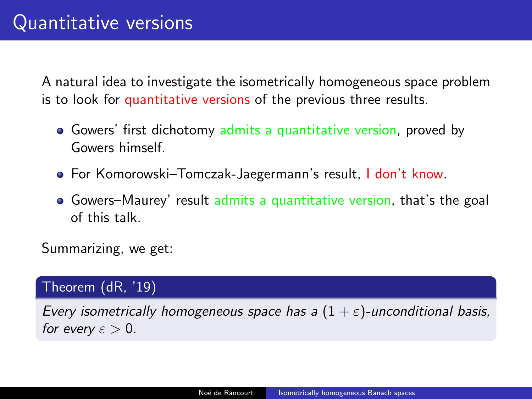A natural idea to investigate the isometrically homogeneous space problem is to look for quantitative versions of the previous three results.

- Gowers' first dichotomy admits a quantitative version, proved by Gowers himself.
- For Komorowski–Tomczak-Jaegermann's result, I don't know.
- Gowers–Maurey' result admits a quantitative version, that's the goal of this talk.

Summarizing, we get:

### Theorem (dR, '19)

Every isometrically homogeneous space has a  $(1 + \varepsilon)$ -unconditional basis, for every  $\varepsilon > 0$ .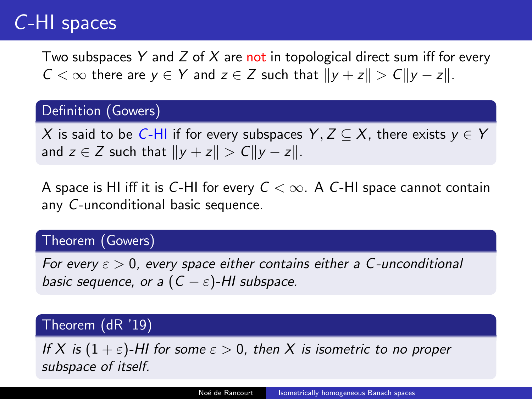# C-HI spaces

Two subspaces Y and Z of X are not in topological direct sum iff for every  $C < \infty$  there are  $y \in Y$  and  $z \in Z$  such that  $||y + z|| > C||y - z||$ .

### Definition (Gowers)

X is said to be C-HI if for every subspaces Y,  $Z \subseteq X$ , there exists  $y \in Y$ and  $z \in Z$  such that  $||y + z|| > C||y - z||$ .

A space is HI iff it is C-HI for every  $C < \infty$ . A C-HI space cannot contain any C-unconditional basic sequence.

### Theorem (Gowers)

For every  $\varepsilon > 0$ , every space either contains either a C-unconditional basic sequence, or a  $(C - \varepsilon)$ -HI subspace.

### Theorem (dR '19)

If X is  $(1 + \varepsilon)$ -HI for some  $\varepsilon > 0$ , then X is isometric to no proper subspace of itself.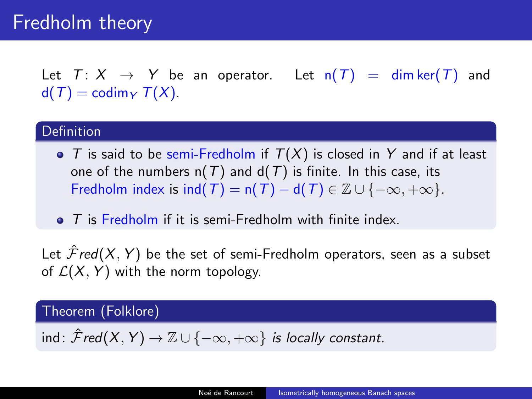# Fredholm theory

Let  $T: X \rightarrow Y$  be an operator. Let  $n(T) = \dim \ker(T)$  and  $d(T) = \text{codim}_{Y} T(X)$ .

#### **Definition**

- $\bullet$  T is said to be semi-Fredholm if  $T(X)$  is closed in Y and if at least one of the numbers  $n(T)$  and  $d(T)$  is finite. In this case, its Fredholm index is  $ind(T) = n(T) - d(T) \in \mathbb{Z} \cup \{-\infty, +\infty\}.$
- $\bullet$  T is Fredholm if it is semi-Fredholm with finite index.

Let  $\mathcal{F}red(X, Y)$  be the set of semi-Fredholm operators, seen as a subset of  $\mathcal{L}(X, Y)$  with the norm topology.

### Theorem (Folklore)

ind:  $\hat{\mathcal{F}}$ red $(X, Y) \to \mathbb{Z} \cup \{-\infty, +\infty\}$  is locally constant.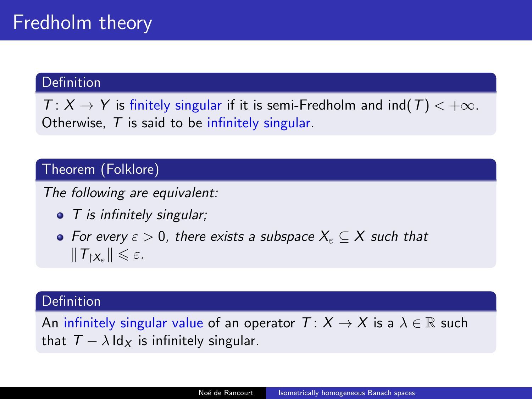### Definition

 $T: X \to Y$  is finitely singular if it is semi-Fredholm and ind(T)  $< +\infty$ . Otherwise,  $T$  is said to be infinitely singular.

### Theorem (Folklore)

The following are equivalent:

- $\bullet$  T is infinitely singular;
- For every  $\varepsilon > 0$ , there exists a subspace  $X_{\varepsilon} \subseteq X$  such that  $||T_{\upharpoonright X_{\varepsilon}}|| \leqslant \varepsilon.$

### Definition

An infinitely singular value of an operator  $T: X \to X$  is a  $\lambda \in \mathbb{R}$  such that  $T - \lambda \, \text{Id}_X$  is infinitely singular.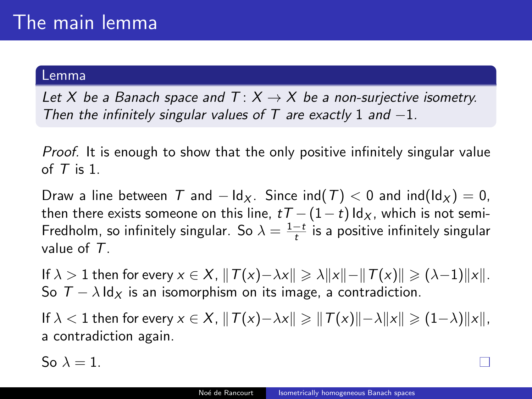#### Lemma

Let X be a Banach space and  $T: X \rightarrow X$  be a non-surjective isometry. Then the infinitely singular values of  $T$  are exactly 1 and  $-1$ .

Proof. It is enough to show that the only positive infinitely singular value of  $T$  is 1.

Draw a line between T and  $- \, \text{Id}_X$ . Since  $\text{ind}(T) < 0$  and  $\text{ind}(\text{Id}_X) = 0$ . then there exists someone on this line,  $tT-(1-t) \, \text{Id}_X$ , which is not semi-Fredholm, so infinitely singular. So  $\lambda = \frac{1-t}{t}$  is a positive infinitely singular value of T.

If  $\lambda > 1$  then for every  $x \in X$ ,  $||T(x)-\lambda x|| \geq \lambda ||x||-||T(x)|| \geq (\lambda-1)||x||$ . So  $T - \lambda \, \text{Id}_X$  is an isomorphism on its image, a contradiction.

If  $\lambda < 1$  then for every  $x \in X$ ,  $||T(x)-\lambda x|| \ge ||T(x)||-\lambda ||x|| \ge (1-\lambda) ||x||$ , a contradiction again.

So  $\lambda = 1$ .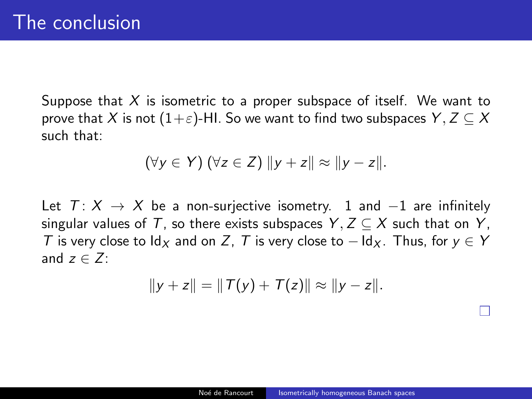Suppose that  $X$  is isometric to a proper subspace of itself. We want to prove that X is not  $(1+\varepsilon)$ -HI. So we want to find two subspaces Y,  $Z \subseteq X$ such that:

$$
(\forall y \in Y) (\forall z \in Z) \|y+z\| \approx \|y-z\|.
$$

Let  $T: X \rightarrow X$  be a non-surjective isometry. 1 and  $-1$  are infinitely singular values of T, so there exists subspaces  $Y, Z \subseteq X$  such that on Y, T is very close to  $\mathrm{Id}_X$  and on Z, T is very close to  $-\mathrm{Id}_X$ . Thus, for  $v \in Y$ and  $z \in Z$ .

$$
||y+z|| = ||T(y)+T(z)|| \approx ||y-z||.
$$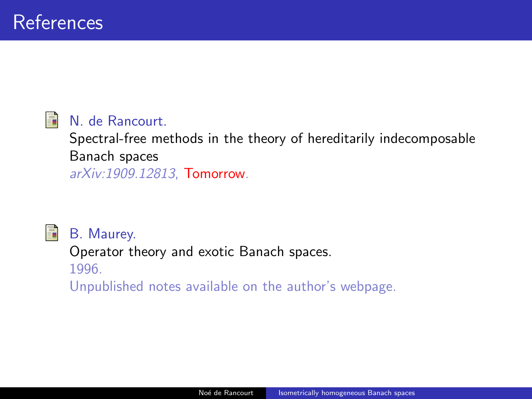#### 暈 N. de Rancourt.

Spectral-free methods in the theory of hereditarily indecomposable Banach spaces arXiv:1909.12813, Tomorrow.



B. Maurey.

Operator theory and exotic Banach spaces. 1996.

Unpublished notes available on the author's webpage.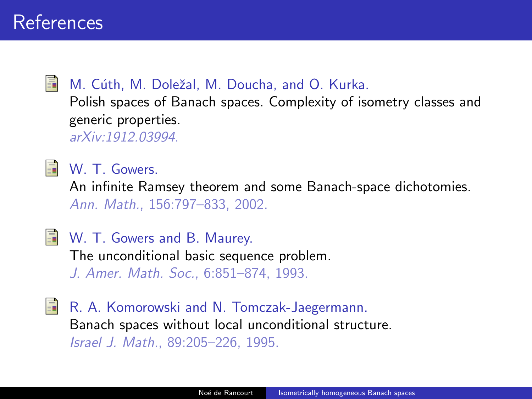### M. Cúth, M. Doležal, M. Doucha, and O. Kurka.

Polish spaces of Banach spaces. Complexity of isometry classes and generic properties. arXiv:1912.03994.



W. T. Gowers.

An infinite Ramsey theorem and some Banach-space dichotomies. Ann. Math., 156:797–833, 2002.



W. T. Gowers and B. Maurey.

The unconditional basic sequence problem. J. Amer. Math. Soc., 6:851–874, 1993.

R. A. Komorowski and N. Tomczak-Jaegermann. Banach spaces without local unconditional structure. Israel J. Math., 89:205–226, 1995.